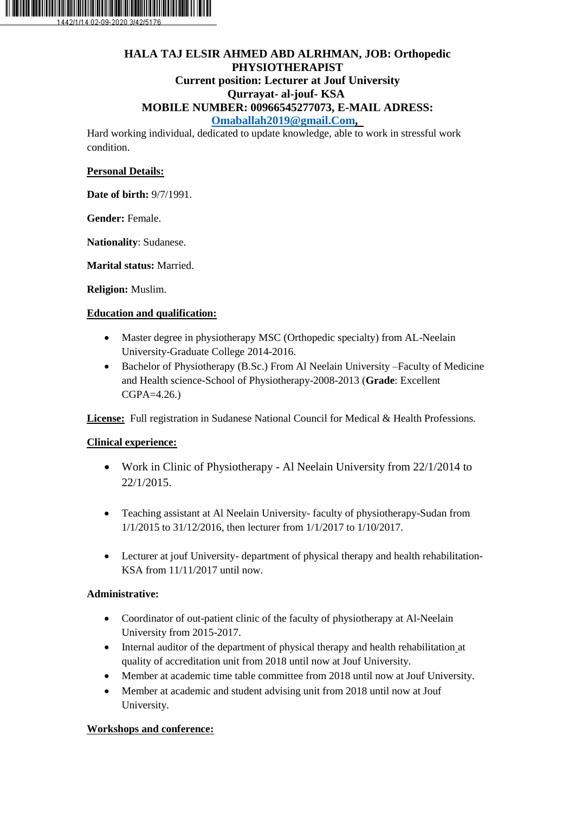

# **HALA TAJ ELSIR AHMED ABD ALRHMAN, JOB: Orthopedic PHYSIOTHERAPIST Current position: Lecturer at Jouf University Qurrayat- al-jouf- KSA MOBILE NUMBER: 00966545277073, E-MAIL ADRESS:**

**[Omaballah2019@gmail.Com,](mailto:Omaballah2019@gmail.Com)**

Hard working individual, dedicated to update knowledge, able to work in stressful work condition.

## **Personal Details:**

**Date of birth:** 9/7/1991.

**Gender:** Female.

**Nationality**: Sudanese.

**Marital status:** Married.

**Religion:** Muslim.

### **Education and qualification:**

- Master degree in physiotherapy MSC (Orthopedic specialty) from AL-Neelain University-Graduate College 2014-2016.
- Bachelor of Physiotherapy (B.Sc.) From Al Neelain University –Faculty of Medicine and Health science-School of Physiotherapy-2008-2013 (**Grade**: Excellent CGPA=4.26.)

**License:** Full registration in Sudanese National Council for Medical & Health Professions.

## **Clinical experience:**

- Work in Clinic of Physiotherapy Al Neelain University from 22/1/2014 to 22/1/2015.
- Teaching assistant at Al Neelain University- faculty of physiotherapy-Sudan from 1/1/2015 to 31/12/2016, then lecturer from 1/1/2017 to 1/10/2017.
- Lecturer at jouf University- department of physical therapy and health rehabilitation-KSA from 11/11/2017 until now.

## **Administrative:**

- Coordinator of out-patient clinic of the faculty of physiotherapy at Al-Neelain University from 2015-2017.
- Internal auditor of the department of physical therapy and health rehabilitation at quality of accreditation unit from 2018 until now at Jouf University.
- Member at academic time table committee from 2018 until now at Jouf University.
- Member at academic and student advising unit from 2018 until now at Jouf University.

## **Workshops and conference:**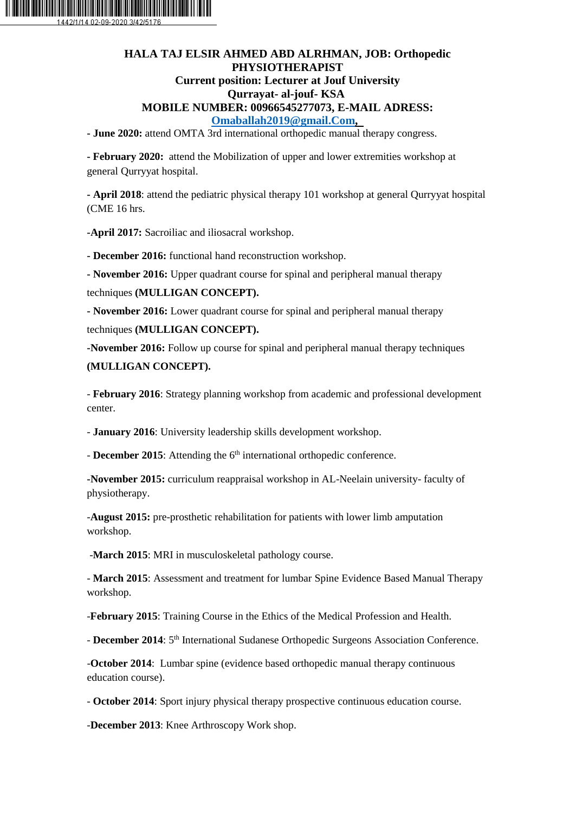

## **HALA TAJ ELSIR AHMED ABD ALRHMAN, JOB: Orthopedic PHYSIOTHERAPIST Current position: Lecturer at Jouf University Qurrayat- al-jouf- KSA MOBILE NUMBER: 00966545277073, E-MAIL ADRESS: [Omaballah2019@gmail.Com,](mailto:Omaballah2019@gmail.Com)**

**- June 2020:** attend OMTA 3rd international orthopedic manual therapy congress.

**- February 2020:** attend the Mobilization of upper and lower extremities workshop at general Qurryyat hospital.

**- April 2018**: attend the pediatric physical therapy 101 workshop at general Qurryyat hospital (CME 16 hrs.

**-April 2017:** Sacroiliac and iliosacral workshop.

**- December 2016:** functional hand reconstruction workshop.

**- November 2016:** Upper quadrant course for spinal and peripheral manual therapy

techniques **(MULLIGAN CONCEPT).** 

**- November 2016:** Lower quadrant course for spinal and peripheral manual therapy

techniques **(MULLIGAN CONCEPT).** 

**-November 2016:** Follow up course for spinal and peripheral manual therapy techniques **(MULLIGAN CONCEPT).**

- **February 2016**: Strategy planning workshop from academic and professional development center.

- **January 2016**: University leadership skills development workshop.

- **December 2015**: Attending the 6<sup>th</sup> international orthopedic conference.

**-November 2015:** curriculum reappraisal workshop in AL-Neelain university- faculty of physiotherapy.

-**August 2015:** pre-prosthetic rehabilitation for patients with lower limb amputation workshop.

-**March 2015**: MRI in musculoskeletal pathology course.

- **March 2015**: Assessment and treatment for lumbar Spine Evidence Based Manual Therapy workshop.

-**February 2015**: Training Course in the Ethics of the Medical Profession and Health.

- **December 2014**:  $5<sup>th</sup>$  International Sudanese Orthopedic Surgeons Association Conference.

-**October 2014**: Lumbar spine (evidence based orthopedic manual therapy continuous education course).

- **October 2014**: Sport injury physical therapy prospective continuous education course.

-**December 2013**: Knee Arthroscopy Work shop.